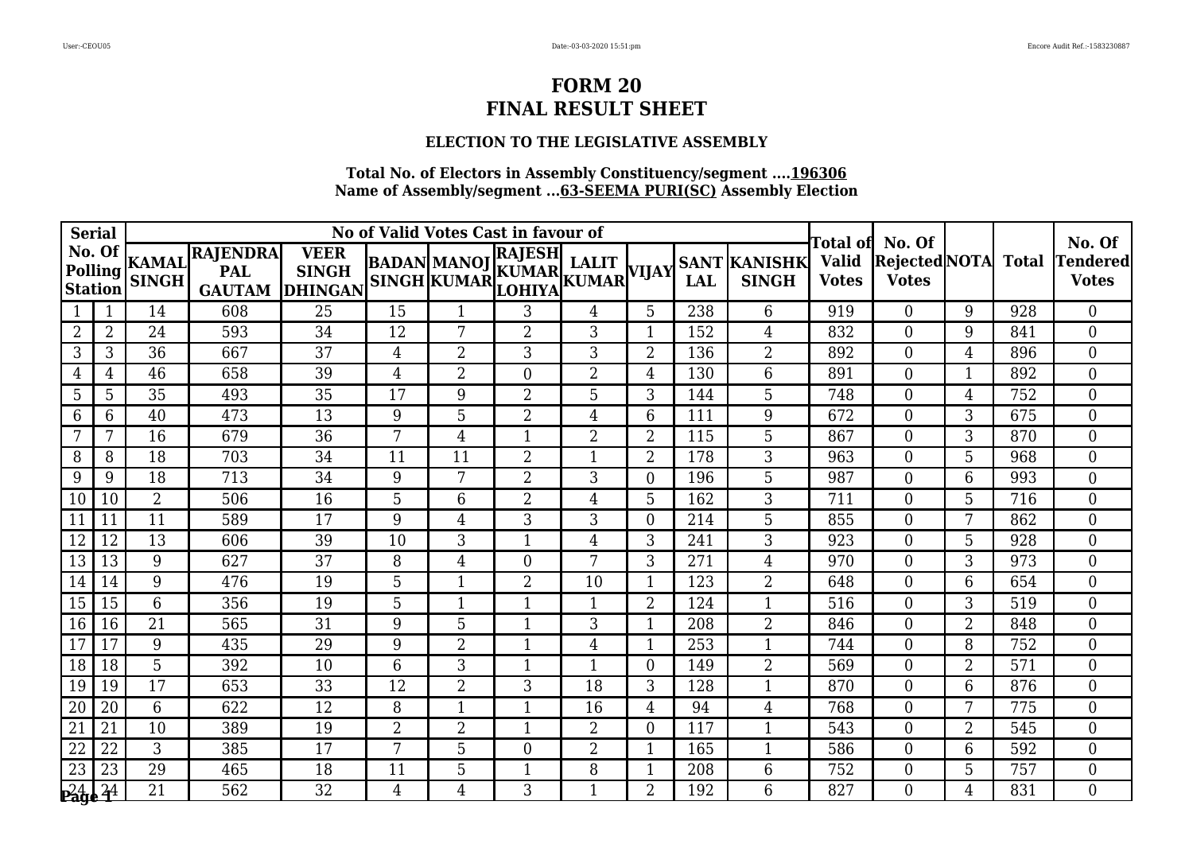### **ELECTION TO THE LEGISLATIVE ASSEMBLY**

| <b>Serial</b>   |                                |                |                                               |                                               |                | No of Valid Votes Cast in favour of |                                                                            | Total ofl      | No. Of         |            |                                     | No. Of                       |                                     |                |     |                          |
|-----------------|--------------------------------|----------------|-----------------------------------------------|-----------------------------------------------|----------------|-------------------------------------|----------------------------------------------------------------------------|----------------|----------------|------------|-------------------------------------|------------------------------|-------------------------------------|----------------|-----|--------------------------|
| <b>Station</b>  | No. Of<br>Polling <sup>"</sup> | <b>SINGH</b>   | KAMAL RAJENDRA<br><b>PAL</b><br><b>GAUTAM</b> | <b>VEER</b><br><b>SINGH</b><br><b>DHINGAN</b> |                |                                     | <b>RAJESH</b><br>BADAN MANOJ KUMAR LALIT<br>SINGH KUMAR LOHIYA KUMAR VIJAY |                |                | <b>LAL</b> | <b>SANT KANISHK</b><br><b>SINGH</b> | <b>Valid</b><br><b>Votes</b> | Rejected NOTA Total<br><b>Votes</b> |                |     | Tendered<br><b>Votes</b> |
|                 | 1                              | 14             | 608                                           | 25                                            | 15             | 1                                   | 3                                                                          | 4              | 5              | 238        | 6                                   | 919                          | $\Omega$                            | 9              | 928 | $\Omega$                 |
| $\overline{2}$  | $\overline{2}$                 | 24             | 593                                           | 34                                            | 12             | 7                                   | $\overline{2}$                                                             | 3              |                | 152        | $\overline{4}$                      | 832                          | $\Omega$                            | 9              | 841 | $\overline{0}$           |
| 3               | 3                              | 36             | 667                                           | 37                                            | $\overline{4}$ | 2                                   | 3                                                                          | 3              | $\overline{2}$ | 136        | $\overline{2}$                      | 892                          | $\overline{0}$                      | $\overline{4}$ | 896 | $\overline{0}$           |
| $\overline{4}$  | 4                              | 46             | 658                                           | 39                                            | $\overline{4}$ | $\overline{2}$                      | $\boldsymbol{0}$                                                           | $\overline{2}$ | $\overline{4}$ | 130        | 6                                   | 891                          | $\Omega$                            | $\mathbf{1}$   | 892 | $\overline{0}$           |
| 5               | 5                              | 35             | 493                                           | 35                                            | 17             | 9                                   | $\overline{2}$                                                             | 5              | 3              | 144        | 5                                   | 748                          | $\overline{0}$                      | $\overline{4}$ | 752 | $\overline{0}$           |
| 6               | 6                              | 40             | 473                                           | 13                                            | 9              | 5                                   | $\overline{2}$                                                             | 4              | 6              | 111        | 9                                   | 672                          | $\Omega$                            | 3              | 675 | $\overline{0}$           |
| 7               | 7                              | 16             | 679                                           | 36                                            | 7              | 4                                   | $\mathbf{1}$                                                               | $\overline{2}$ | $\overline{2}$ | 115        | 5                                   | 867                          | $\Omega$                            | 3              | 870 | $\Omega$                 |
| 8               | 8                              | 18             | 703                                           | 34                                            | 11             | 11                                  | $\overline{2}$                                                             |                | $\overline{2}$ | 178        | 3                                   | 963                          | $\Omega$                            | 5              | 968 | $\overline{0}$           |
| 9               | 9                              | 18             | 713                                           | 34                                            | 9              | 7                                   | $\overline{2}$                                                             | 3              | $\overline{0}$ | 196        | 5                                   | 987                          | $\overline{0}$                      | 6              | 993 | $\overline{0}$           |
| 10              | 10                             | $\overline{2}$ | 506                                           | 16                                            | 5              | 6                                   | $\overline{2}$                                                             | 4              | 5              | 162        | 3                                   | 711                          | $\Omega$                            | 5              | 716 | $\Omega$                 |
| 11              | 11                             | 11             | 589                                           | 17                                            | 9              | 4                                   | $\mathbf{3}$                                                               | 3              | $\Omega$       | 214        | 5                                   | 855                          | $\Omega$                            | 7              | 862 | $\Omega$                 |
| 12              | 12                             | 13             | 606                                           | 39                                            | 10             | 3                                   | $\overline{1}$                                                             | 4              | 3              | 241        | 3                                   | 923                          | $\Omega$                            | 5              | 928 | $\overline{0}$           |
| 13              | 13                             | 9              | 627                                           | 37                                            | 8              | $\overline{4}$                      | $\boldsymbol{0}$                                                           | 7              | 3              | 271        | $\overline{4}$                      | 970                          | $\Omega$                            | 3              | 973 | $\overline{0}$           |
| 14              | 14                             | 9              | 476                                           | 19                                            | 5              | $\mathbf{1}$                        | $\overline{2}$                                                             | 10             |                | 123        | $\overline{2}$                      | 648                          | $\Omega$                            | 6              | 654 | $\overline{0}$           |
| 15              | 15                             | 6              | 356                                           | 19                                            | 5              | $\mathbf{1}$                        | $\mathbf{1}$                                                               |                | $\overline{2}$ | 124        | $\mathbf{1}$                        | 516                          | $\Omega$                            | 3              | 519 | $\overline{0}$           |
| 16              | 16                             | 21             | 565                                           | 31                                            | 9              | 5                                   | $\mathbf{1}$                                                               | 3              |                | 208        | $\overline{2}$                      | 846                          | $\Omega$                            | $\overline{2}$ | 848 | $\overline{0}$           |
| 17              | 17                             | 9              | 435                                           | 29                                            | 9              | 2                                   | $\mathbf{1}$                                                               | 4              |                | 253        | 1                                   | 744                          | $\Omega$                            | 8              | 752 | $\overline{0}$           |
| 18              | 18                             | 5              | 392                                           | 10                                            | 6              | 3                                   | $\mathbf{1}$                                                               | $\mathbf{1}$   | $\theta$       | 149        | $\overline{2}$                      | 569                          | $\Omega$                            | $\overline{2}$ | 571 | $\overline{0}$           |
| 19              | 19                             | 17             | 653                                           | 33                                            | 12             | $\overline{2}$                      | 3                                                                          | 18             | 3              | 128        | $\mathbf{1}$                        | 870                          | $\Omega$                            | 6              | 876 | $\overline{0}$           |
| 20              | 20                             | 6              | 622                                           | 12                                            | 8              | 1                                   | $\mathbf{1}$                                                               | 16             | $\overline{4}$ | 94         | $\overline{4}$                      | 768                          | $\Omega$                            | 7              | 775 | $\overline{0}$           |
| $\overline{21}$ | 21                             | 10             | 389                                           | 19                                            | $\overline{2}$ | 2                                   | $\mathbf{1}$                                                               | $\overline{2}$ | $\Omega$       | 117        | $\mathbf{1}$                        | 543                          | $\Omega$                            | $\overline{2}$ | 545 | $\overline{0}$           |
| 22              | 22                             | 3              | 385                                           | 17                                            | 7              | 5                                   | $\boldsymbol{0}$                                                           | $\overline{2}$ |                | 165        | 1                                   | 586                          | $\Omega$                            | 6              | 592 | $\overline{0}$           |
| $\overline{23}$ | 23                             | 29             | 465                                           | 18                                            | 11             | 5                                   | $\mathbf{1}$                                                               | 8              |                | 208        | $6\phantom{1}6$                     | 752                          | $\overline{0}$                      | 5              | 757 | $\overline{0}$           |
| 24              | $^{24}$                        | 21             | 562                                           | 32                                            | $\overline{4}$ | 4                                   | 3                                                                          | 1              | $\overline{2}$ | 192        | 6                                   | 827                          | $\Omega$                            | $\overline{4}$ | 831 | $\Omega$                 |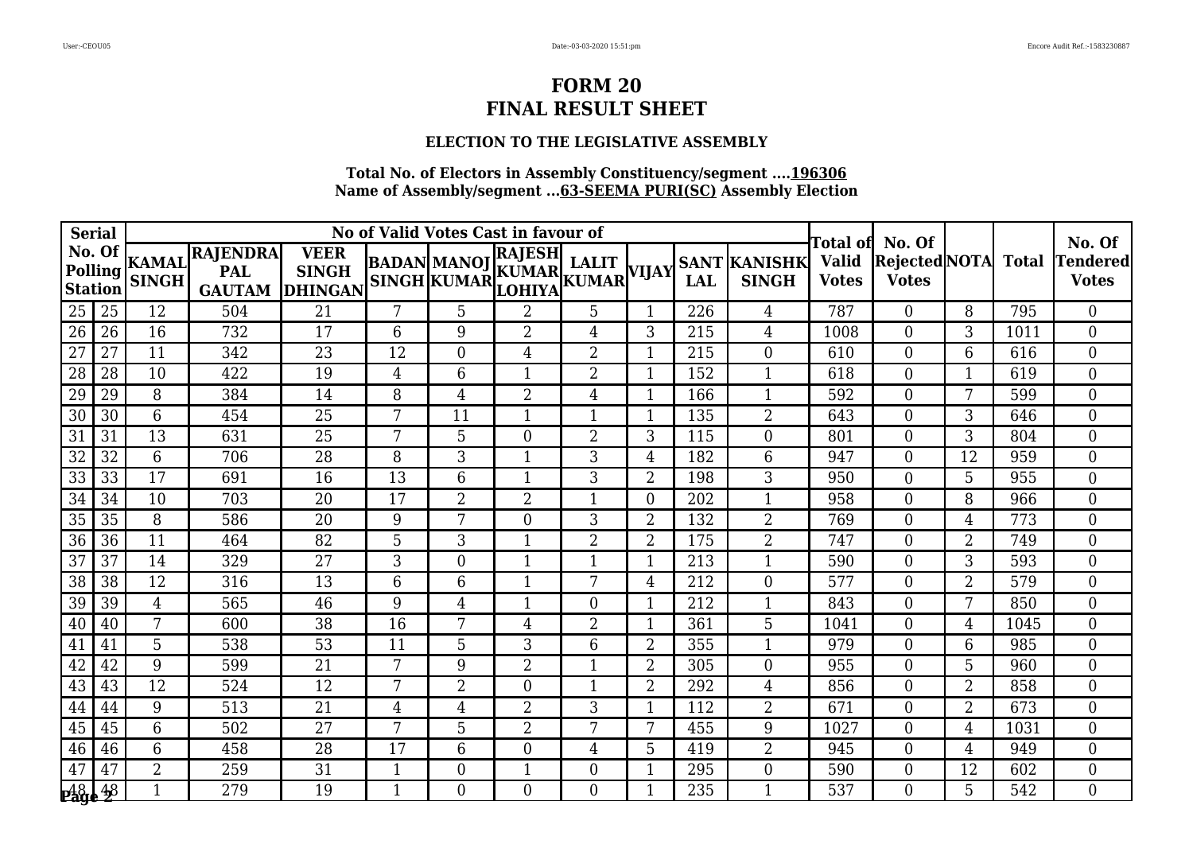### **ELECTION TO THE LEGISLATIVE ASSEMBLY**

|                                           | <b>Serial</b>                  |                |                                               |                                               |                | No of Valid Votes Cast in favour of |                                                                                   | Total ofl      | No. Of         |            |                                     | No. Of                       |                                     |                |      |                          |
|-------------------------------------------|--------------------------------|----------------|-----------------------------------------------|-----------------------------------------------|----------------|-------------------------------------|-----------------------------------------------------------------------------------|----------------|----------------|------------|-------------------------------------|------------------------------|-------------------------------------|----------------|------|--------------------------|
| <b>Station</b>                            | No. Of<br>Polling <sup>"</sup> | <b>SINGH</b>   | KAMAL RAJENDRA<br><b>PAL</b><br><b>GAUTAM</b> | <b>VEER</b><br><b>SINGH</b><br><b>DHINGAN</b> |                |                                     | <b>RAJESH</b><br><b>BADAN MANOJ KUMAR LALIT</b><br>SINGH KUMAR LOHIYA KUMAR VIJAY |                |                | <b>LAL</b> | <b>SANT KANISHK</b><br><b>SINGH</b> | <b>Valid</b><br><b>Votes</b> | Rejected NOTA Total<br><b>Votes</b> |                |      | Tendered<br><b>Votes</b> |
| 25                                        | 25                             | 12             | 504                                           | 21                                            | 7              | 5                                   | $\overline{2}$                                                                    | 5              | 1              | 226        | 4                                   | 787                          | $\Omega$                            | 8              | 795  | $\Omega$                 |
| 26                                        | 26                             | 16             | 732                                           | 17                                            | 6              | 9                                   | $\overline{2}$                                                                    | 4              | 3              | 215        | 4                                   | 1008                         | $\Omega$                            | 3              | 1011 | $\overline{0}$           |
| $\overline{27}$                           | 27                             | 11             | 342                                           | 23                                            | 12             | $\overline{0}$                      | $\overline{4}$                                                                    | 2              |                | 215        | $\boldsymbol{0}$                    | 610                          | $\overline{0}$                      | 6              | 616  | $\overline{0}$           |
| 28                                        | 28                             | 10             | 422                                           | 19                                            | $\overline{4}$ | 6                                   | $\mathbf{1}$                                                                      | $\overline{2}$ | $\mathbf{1}$   | 152        | $\mathbf{1}$                        | 618                          | $\Omega$                            | $\mathbf{1}$   | 619  | $\overline{0}$           |
| 29                                        | 29                             | 8              | 384                                           | 14                                            | 8              | 4                                   | $\overline{2}$                                                                    | 4              |                | 166        | $\mathbf{1}$                        | 592                          | $\overline{0}$                      | 7              | 599  | $\overline{0}$           |
| 30                                        | 30                             | 6              | 454                                           | 25                                            | 7              | 11                                  | $\mathbf{1}$                                                                      |                |                | 135        | $\overline{2}$                      | 643                          | $\Omega$                            | 3              | 646  | $\overline{0}$           |
| 31                                        | 31                             | 13             | 631                                           | 25                                            | 7              | 5                                   | $\boldsymbol{0}$                                                                  | $\overline{2}$ | 3              | 115        | $\overline{0}$                      | 801                          | $\Omega$                            | 3              | 804  | $\Omega$                 |
| 32                                        | 32                             | 6              | 706                                           | 28                                            | 8              | 3                                   | $\mathbf{1}$                                                                      | 3              | $\overline{4}$ | 182        | 6                                   | 947                          | $\Omega$                            | 12             | 959  | $\overline{0}$           |
| $\overline{33}$                           | 33                             | 17             | 691                                           | 16                                            | 13             | 6                                   | $\mathbf{1}$                                                                      | 3              | $\overline{2}$ | 198        | 3                                   | 950                          | $\overline{0}$                      | 5              | 955  | $\overline{0}$           |
| 34                                        | 34                             | 10             | 703                                           | 20                                            | 17             | 2                                   | $\overline{2}$                                                                    | 1              | $\Omega$       | 202        | $\mathbf{1}$                        | 958                          | $\Omega$                            | 8              | 966  | $\Omega$                 |
| 35                                        | 35                             | 8              | 586                                           | 20                                            | 9              | 7                                   | $\boldsymbol{0}$                                                                  | 3              | $\overline{2}$ | 132        | $\overline{2}$                      | 769                          | $\Omega$                            | $\overline{4}$ | 773  | $\Omega$                 |
| $\overline{36}$                           | 36                             | 11             | 464                                           | 82                                            | 5              | 3                                   | $\mathbf{1}$                                                                      | $\overline{2}$ | $\overline{2}$ | 175        | $\overline{2}$                      | 747                          | $\overline{0}$                      | $\overline{2}$ | 749  | $\overline{0}$           |
| 37                                        | 37                             | 14             | 329                                           | 27                                            | 3              | $\overline{0}$                      | $\mathbf{1}$                                                                      | 1              |                | 213        | $\mathbf{1}$                        | 590                          | $\overline{0}$                      | 3              | 593  | $\overline{0}$           |
| 38                                        | 38                             | 12             | 316                                           | 13                                            | 6              | 6                                   | $\mathbf{1}$                                                                      | 7              | $\overline{4}$ | 212        | $\overline{0}$                      | 577                          | $\Omega$                            | $\overline{2}$ | 579  | $\overline{0}$           |
| $\overline{39}$                           | 39                             | $\overline{4}$ | 565                                           | 46                                            | 9              | 4                                   | $\mathbf{1}$                                                                      | $\theta$       |                | 212        | $\mathbf{1}$                        | 843                          | $\theta$                            | 7              | 850  | $\overline{0}$           |
| 40                                        | 40                             | 7              | 600                                           | 38                                            | 16             | 7                                   | $\overline{4}$                                                                    | 2              |                | 361        | 5                                   | 1041                         | $\Omega$                            | $\overline{4}$ | 1045 | $\overline{0}$           |
| 41                                        | 41                             | 5              | 538                                           | 53                                            | 11             | 5                                   | 3                                                                                 | 6              | $\overline{2}$ | 355        | $\mathbf{1}$                        | 979                          | $\Omega$                            | 6              | 985  | $\overline{0}$           |
| 42                                        | 42                             | 9              | 599                                           | $\overline{21}$                               | 7              | 9                                   | $\overline{2}$                                                                    | 1              | $\overline{2}$ | 305        | $\overline{0}$                      | 955                          | $\Omega$                            | 5              | 960  | $\overline{0}$           |
| 43                                        | 43                             | 12             | 524                                           | 12                                            | 7              | $\overline{2}$                      | $\boldsymbol{0}$                                                                  | 1              | $\overline{2}$ | 292        | $\overline{4}$                      | 856                          | $\Omega$                            | $\overline{2}$ | 858  | $\overline{0}$           |
| 44                                        | 44                             | 9              | 513                                           | 21                                            | 4              | 4                                   | $\overline{2}$                                                                    | 3              |                | 112        | $\overline{2}$                      | 671                          | $\Omega$                            | $\overline{2}$ | 673  | $\Omega$                 |
| 45                                        | 45                             | 6              | 502                                           | 27                                            | 7              | 5                                   | $\overline{2}$                                                                    | 7              | 7              | 455        | 9                                   | 1027                         | $\Omega$                            | $\overline{4}$ | 1031 | $\overline{0}$           |
| 46                                        | 46                             | 6              | 458                                           | 28                                            | 17             | 6                                   | $\boldsymbol{0}$                                                                  | 4              | 5              | 419        | $\overline{2}$                      | 945                          | $\Omega$                            | $\overline{4}$ | 949  | $\overline{0}$           |
| 47                                        | 47                             | $\overline{2}$ | 259                                           | 31                                            | $\mathbf{1}$   | $\boldsymbol{0}$                    | $\mathbf{1}$                                                                      | 0              |                | 295        | $\boldsymbol{0}$                    | 590                          | $\overline{0}$                      | 12             | 602  | $\overline{0}$           |
| $\mathbf{p}_{\mathbf{age}}^{\mathrm{48}}$ | 48                             | 1              | 279                                           | 19                                            | 1              | $\Omega$                            | $\theta$                                                                          | $\Omega$       | 1              | 235        | $\mathbf{1}$                        | 537                          | $\Omega$                            | 5              | 542  | $\Omega$                 |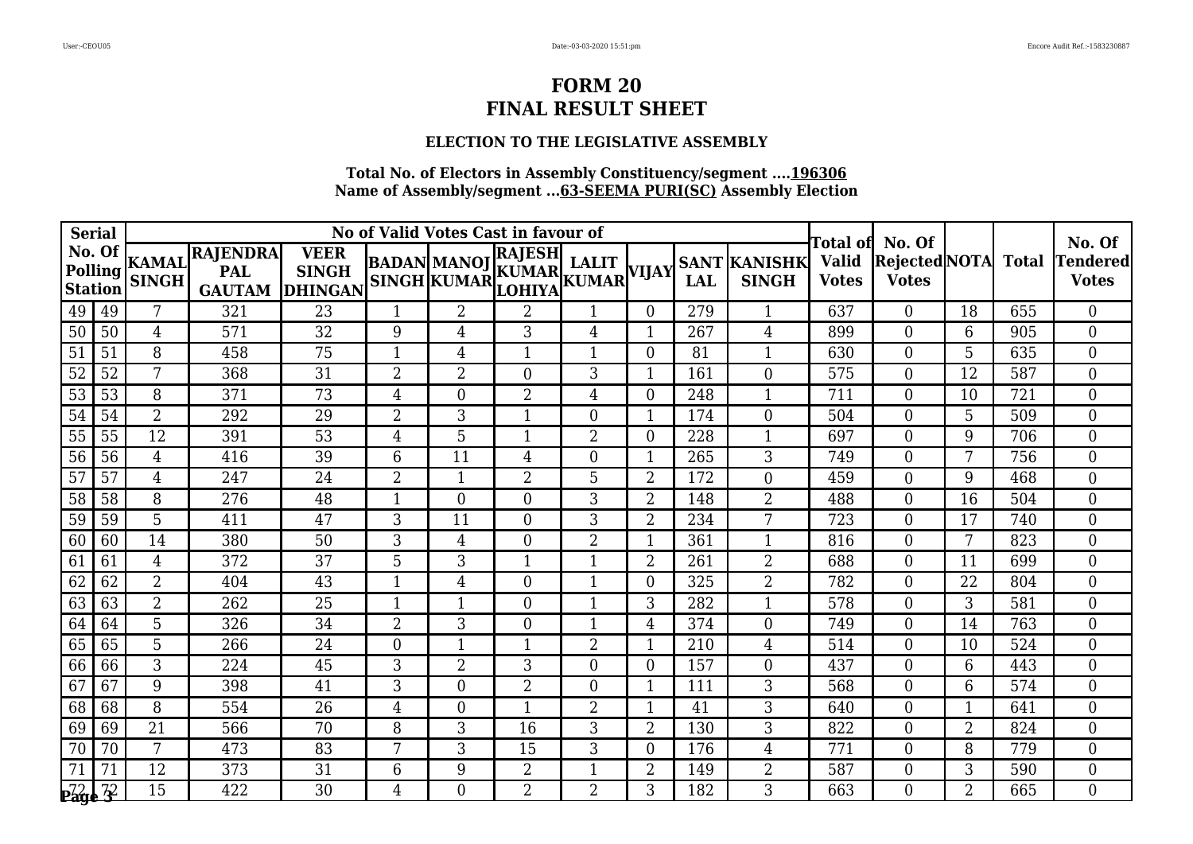### **ELECTION TO THE LEGISLATIVE ASSEMBLY**

|                 | <b>Serial</b>                  |                |                                               |                                               |                | No of Valid Votes Cast in favour of |                                                                            | Fotal ofl      | No. Of         |            |                                     | No. Of                       |                                     |                |     |                          |
|-----------------|--------------------------------|----------------|-----------------------------------------------|-----------------------------------------------|----------------|-------------------------------------|----------------------------------------------------------------------------|----------------|----------------|------------|-------------------------------------|------------------------------|-------------------------------------|----------------|-----|--------------------------|
| <b>Station</b>  | No. Of<br>Polling <sup>"</sup> | <b>SINGH</b>   | KAMAL RAJENDRA<br><b>PAL</b><br><b>GAUTAM</b> | <b>VEER</b><br><b>SINGH</b><br><b>DHINGAN</b> |                |                                     | <b>RAJESH</b><br>BADAN MANOJ KUMAR LALIT<br>SINGH KUMAR LOHIYA KUMAR VIJAY |                |                | <b>LAL</b> | <b>SANT KANISHK</b><br><b>SINGH</b> | <b>Valid</b><br><b>Votes</b> | Rejected NOTA Total<br><b>Votes</b> |                |     | Tendered<br><b>Votes</b> |
| 49              | 49                             | 7              | 321                                           | 23                                            | 1              | $\overline{2}$                      | $\overline{2}$                                                             |                | $\Omega$       | 279        | 1                                   | 637                          | $\Omega$                            | 18             | 655 | $\Omega$                 |
| 50              | 50                             | 4              | 571                                           | 32                                            | 9              | 4                                   | $\mathfrak{Z}$                                                             | 4              |                | 267        | 4                                   | 899                          | $\Omega$                            | 6              | 905 | $\overline{0}$           |
| 51              | 51                             | 8              | 458                                           | 75                                            | 1              | 4                                   | $\mathbf{1}$                                                               | 1              | $\Omega$       | 81         | 1                                   | 630                          | $\overline{0}$                      | 5              | 635 | $\overline{0}$           |
| 52              | 52                             | 7              | 368                                           | 31                                            | $\overline{2}$ | 2                                   | $\boldsymbol{0}$                                                           | 3              | 1              | 161        | $\overline{0}$                      | 575                          | $\Omega$                            | 12             | 587 | $\overline{0}$           |
| $\overline{53}$ | 53                             | 8              | 371                                           | 73                                            | 4              | $\overline{0}$                      | $\overline{2}$                                                             | 4              | $\overline{0}$ | 248        | 1                                   | 711                          | $\Omega$                            | 10             | 721 | $\overline{0}$           |
| 54              | 54                             | $\overline{2}$ | 292                                           | 29                                            | $\overline{2}$ | 3                                   | $\mathbf{1}$                                                               | 0              |                | 174        | $\overline{0}$                      | 504                          | $\Omega$                            | 5              | 509 | $\overline{0}$           |
| 55              | 55                             | 12             | 391                                           | 53                                            | 4              | 5                                   | $\mathbf{1}$                                                               | $\overline{2}$ | $\Omega$       | 228        | $\mathbf{1}$                        | 697                          | $\Omega$                            | 9              | 706 | $\Omega$                 |
| 56              | 56                             | $\overline{4}$ | 416                                           | 39                                            | 6              | 11                                  | $\overline{4}$                                                             | 0              |                | 265        | 3                                   | 749                          | $\Omega$                            | 7              | 756 | $\overline{0}$           |
| $\overline{57}$ | 57                             | $\overline{4}$ | 247                                           | 24                                            | $\overline{2}$ | $\mathbf{1}$                        | $\overline{2}$                                                             | 5              | $\overline{2}$ | 172        | $\boldsymbol{0}$                    | 459                          | $\overline{0}$                      | 9              | 468 | $\overline{0}$           |
| $\overline{58}$ | 58                             | 8              | 276                                           | 48                                            | $\mathbf{1}$   | $\overline{0}$                      | $\boldsymbol{0}$                                                           | 3              | $\overline{2}$ | 148        | $\overline{2}$                      | 488                          | $\Omega$                            | 16             | 504 | $\Omega$                 |
| 59              | 59                             | 5              | 411                                           | 47                                            | 3              | 11                                  | $\boldsymbol{0}$                                                           | 3              | $\overline{2}$ | 234        | 7                                   | 723                          | $\Omega$                            | 17             | 740 | $\Omega$                 |
| 60              | 60                             | 14             | 380                                           | 50                                            | 3              | 4                                   | $\mathbf{0}$                                                               | $\overline{2}$ |                | 361        | $\mathbf 1$                         | 816                          | $\Omega$                            | 7              | 823 | $\overline{0}$           |
| 61              | 61                             | $\overline{4}$ | 372                                           | 37                                            | 5              | 3                                   | $\mathbf{1}$                                                               | 1              | $\overline{2}$ | 261        | $\overline{2}$                      | 688                          | $\overline{0}$                      | 11             | 699 | $\overline{0}$           |
| 62              | 62                             | $\overline{2}$ | 404                                           | 43                                            | $\mathbf{1}$   | 4                                   | $\boldsymbol{0}$                                                           | 1              | $\Omega$       | 325        | $\overline{2}$                      | 782                          | $\Omega$                            | 22             | 804 | $\overline{0}$           |
| 63              | 63                             | $\overline{2}$ | 262                                           | $\overline{25}$                               | 1              | $\mathbf{1}$                        | $\boldsymbol{0}$                                                           |                | 3              | 282        | $\mathbf{1}$                        | 578                          | $\theta$                            | 3              | 581 | $\overline{0}$           |
| 64              | 64                             | 5              | 326                                           | 34                                            | $\overline{2}$ | 3                                   | $\boldsymbol{0}$                                                           |                | $\overline{4}$ | 374        | $\overline{0}$                      | 749                          | $\Omega$                            | 14             | 763 | $\overline{0}$           |
| 65              | 65                             | 5              | 266                                           | 24                                            | $\theta$       | $\mathbf 1$                         | $\mathbf{1}$                                                               | $\overline{2}$ |                | 210        | 4                                   | 514                          | $\Omega$                            | 10             | 524 | $\overline{0}$           |
| 66              | 66                             | 3              | 224                                           | 45                                            | 3              | $\overline{2}$                      | 3                                                                          | $\overline{0}$ | $\Omega$       | 157        | $\overline{0}$                      | 437                          | $\Omega$                            | 6              | 443 | $\overline{0}$           |
| 67              | 67                             | 9              | 398                                           | 41                                            | 3              | $\overline{0}$                      | $\overline{2}$                                                             | 0              |                | 111        | 3                                   | 568                          | $\Omega$                            | 6              | 574 | $\overline{0}$           |
| 68              | 68                             | 8              | 554                                           | 26                                            | $\overline{4}$ | $\overline{0}$                      | $\mathbf{1}$                                                               | $\overline{2}$ |                | 41         | 3                                   | 640                          | $\Omega$                            |                | 641 | $\Omega$                 |
| 69              | 69                             | 21             | 566                                           | 70                                            | 8              | 3                                   | 16                                                                         | 3              | $\overline{2}$ | 130        | 3                                   | 822                          | $\Omega$                            | $\overline{2}$ | 824 | $\overline{0}$           |
| 70              | 70                             | 7              | 473                                           | 83                                            | 7              | 3                                   | 15                                                                         | 3              | $\Omega$       | 176        | 4                                   | 771                          | $\Omega$                            | 8              | 779 | $\overline{0}$           |
| 71              | 71                             | 12             | 373                                           | 31                                            | 6              | 9                                   | $\overline{2}$                                                             | 1              | $\overline{2}$ | 149        | $\overline{2}$                      | 587                          | $\overline{0}$                      | 3              | 590 | $\overline{0}$           |
| $_{\rm Page}$   | $\overline{3}^2$               | 15             | 422                                           | 30                                            | $\overline{4}$ | $\Omega$                            | $\overline{2}$                                                             | $\overline{2}$ | 3              | 182        | 3                                   | 663                          | $\Omega$                            | $\overline{2}$ | 665 | $\Omega$                 |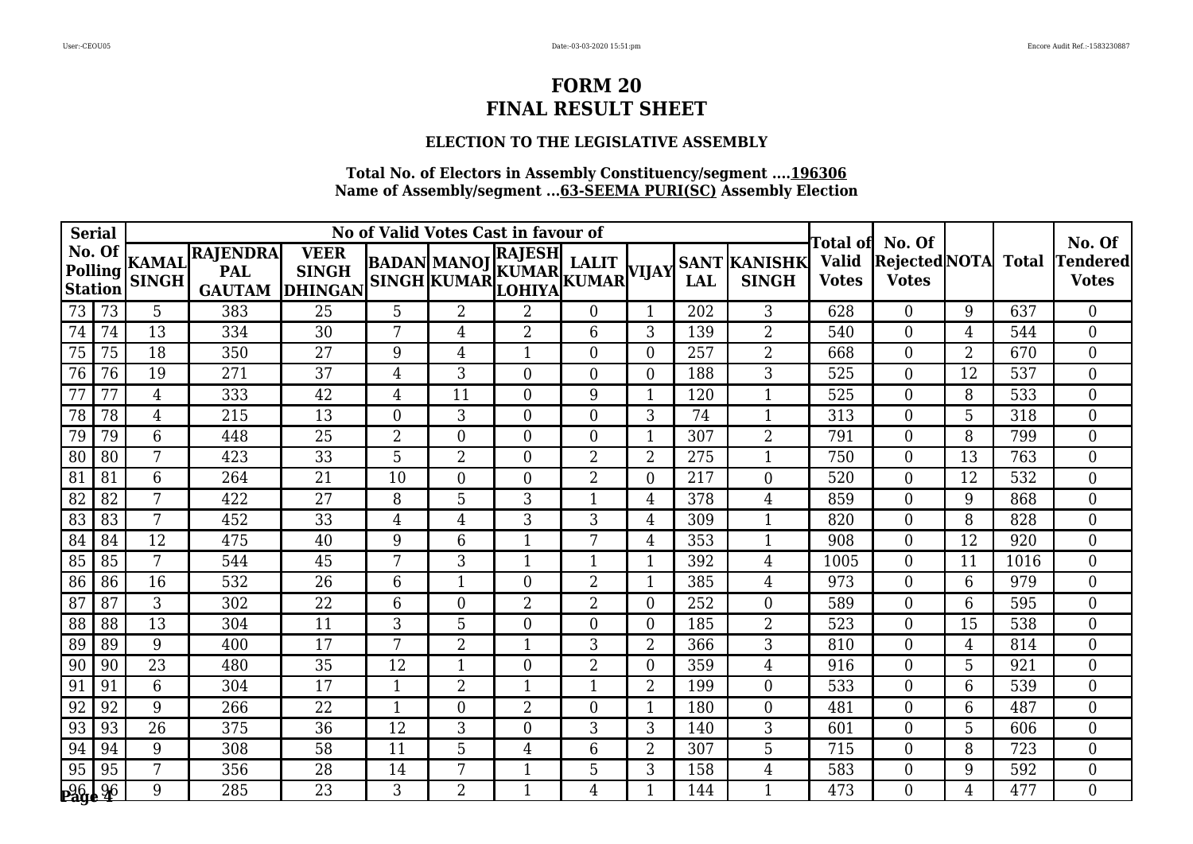#### **ELECTION TO THE LEGISLATIVE ASSEMBLY**

| <b>Serial</b>  |                   |                 |                                               |                                               |                | No of Valid Votes Cast in favour of                       |                  |                | No. Of         |            |                                     | No. Of                                    |                                            |                |      |                                 |
|----------------|-------------------|-----------------|-----------------------------------------------|-----------------------------------------------|----------------|-----------------------------------------------------------|------------------|----------------|----------------|------------|-------------------------------------|-------------------------------------------|--------------------------------------------|----------------|------|---------------------------------|
| <b>Station</b> | No. Of<br>Polling | <b>SINGH</b>    | KAMAL RAJENDRA<br><b>PAL</b><br><b>GAUTAM</b> | <b>VEER</b><br><b>SINGH</b><br><b>DHINGAN</b> | BADAN  MANO]   | BADAN MANOJ KUMAR LALIT VIJAY<br>SINGH KUMAR LOHIYA KUMAR | <b>RAJESH</b>    | <b>LALIT</b>   |                | <b>LAL</b> | <b>SANT KANISHK</b><br><b>SINGH</b> | Fotal ofl<br><b>Valid</b><br><b>Votes</b> | <b>Rejected</b> NOTA Total<br><b>Votes</b> |                |      | <b>Tendered</b><br><b>Votes</b> |
| 73             | 73                | 5               | 383                                           | 25                                            | 5              | $\overline{2}$                                            | $\overline{2}$   | $\overline{0}$ |                | 202        | 3                                   | 628                                       | $\Omega$                                   | 9              | 637  | $\overline{0}$                  |
| 74             | 74                | 13              | 334                                           | 30                                            | 7              | 4                                                         | $\overline{2}$   | 6              | 3              | 139        | $\overline{2}$                      | 540                                       | $\Omega$                                   | $\overline{4}$ | 544  | $\overline{0}$                  |
| 75             | 75                | 18              | 350                                           | 27                                            | 9              | 4                                                         | $\mathbf{1}$     | 0              | $\Omega$       | 257        | $\overline{2}$                      | 668                                       | $\Omega$                                   | $\overline{2}$ | 670  | $\Omega$                        |
| 76             | 76                | 19              | 271                                           | 37                                            | $\overline{4}$ | 3                                                         | $\boldsymbol{0}$ | $\overline{0}$ | $\Omega$       | 188        | 3                                   | 525                                       | $\Omega$                                   | 12             | 537  | $\overline{0}$                  |
| 77             | 77                | 4               | 333                                           | 42                                            | 4              | 11                                                        | $\boldsymbol{0}$ | 9              |                | 120        | $\mathbf{1}$                        | 525                                       | $\Omega$                                   | 8              | 533  | $\overline{0}$                  |
| 78             | 78                | 4               | 215                                           | 13                                            | $\overline{0}$ | 3                                                         | $\boldsymbol{0}$ | 0              | 3              | 74         | $\mathbf{1}$                        | 313                                       | $\Omega$                                   | 5              | 318  | $\overline{0}$                  |
| 79             | 79                | 6               | 448                                           | 25                                            | $\overline{2}$ | $\overline{0}$                                            | $\boldsymbol{0}$ | $\overline{0}$ |                | 307        | $\overline{2}$                      | 791                                       | $\theta$                                   | 8              | 799  | $\overline{0}$                  |
| 80             | 80                | 7               | 423                                           | 33                                            | 5              | 2                                                         | $\boldsymbol{0}$ | $\overline{2}$ | 2              | 275        | -1                                  | 750                                       | $\overline{0}$                             | 13             | 763  | $\overline{0}$                  |
| 81             | 81                | 6               | 264                                           | $\overline{21}$                               | 10             | $\overline{0}$                                            | $\boldsymbol{0}$ | $\overline{2}$ | $\Omega$       | 217        | $\overline{0}$                      | 520                                       | $\Omega$                                   | 12             | 532  | $\overline{0}$                  |
| 82             | 82                | 7               | 422                                           | 27                                            | 8              | 5                                                         | 3                | 1              | $\overline{4}$ | 378        | $\overline{4}$                      | 859                                       | $\Omega$                                   | 9              | 868  | $\overline{0}$                  |
| 83             | 83                | 7               | 452                                           | 33                                            | 4              | 4                                                         | 3                | 3              | $\overline{4}$ | 309        | $\mathbf 1$                         | 820                                       | $\Omega$                                   | 8              | 828  | $\Omega$                        |
| 84             | 84                | 12              | 475                                           | 40                                            | 9              | 6                                                         | $\mathbf{1}$     | 7              | $\overline{4}$ | 353        | 1                                   | 908                                       | $\overline{0}$                             | 12             | 920  | $\overline{0}$                  |
| 85             | 85                | 7               | 544                                           | 45                                            | 7              | 3                                                         | $\mathbf{1}$     | 1              | 1              | 392        | 4                                   | 1005                                      | $\Omega$                                   | 11             | 1016 | $\Omega$                        |
| 86             | 86                | 16              | 532                                           | 26                                            | 6              | 1                                                         | $\boldsymbol{0}$ | 2              |                | 385        | $\overline{4}$                      | 973                                       | $\Omega$                                   | 6              | 979  | $\overline{0}$                  |
| 87             | 87                | $\mathfrak{Z}$  | 302                                           | 22                                            | 6              | $\overline{0}$                                            | $\overline{2}$   | $\overline{2}$ | $\Omega$       | 252        | $\overline{0}$                      | 589                                       | $\overline{0}$                             | 6              | 595  | $\overline{0}$                  |
| 88             | 88                | 13              | 304                                           | 11                                            | 3              | 5                                                         | $\boldsymbol{0}$ | $\overline{0}$ | $\Omega$       | 185        | $\overline{2}$                      | 523                                       | $\Omega$                                   | 15             | 538  | $\Omega$                        |
| 89             | 89                | 9               | 400                                           | 17                                            | 7              | $\overline{2}$                                            | $\mathbf{1}$     | 3              | $\overline{2}$ | 366        | 3                                   | 810                                       | $\Omega$                                   | $\overline{4}$ | 814  | $\overline{0}$                  |
| 90             | 90                | $\overline{23}$ | 480                                           | $\overline{35}$                               | 12             | 1                                                         | $\overline{0}$   | $\overline{2}$ | $\Omega$       | 359        | $\overline{4}$                      | 916                                       | $\Omega$                                   | 5              | 921  | $\overline{0}$                  |
| 91             | 91                | 6               | 304                                           | 17                                            | 1              | $\overline{2}$                                            | 1                | 1              | $\overline{2}$ | 199        | $\overline{0}$                      | 533                                       | $\Omega$                                   | 6              | 539  | $\overline{0}$                  |
| 92             | 92                | 9               | 266                                           | 22                                            | 1              | $\theta$                                                  | $\overline{2}$   | 0              |                | 180        | $\boldsymbol{0}$                    | 481                                       | $\Omega$                                   | 6              | 487  | $\overline{0}$                  |
| 93             | 93                | 26              | 375                                           | 36                                            | 12             | 3                                                         | $\boldsymbol{0}$ | 3              | 3              | 140        | 3                                   | 601                                       | $\theta$                                   | 5              | 606  | $\overline{0}$                  |
| 94             | 94                | 9               | 308                                           | 58                                            | 11             | 5                                                         | $\overline{4}$   | 6              | 2              | 307        | 5                                   | 715                                       | $\Omega$                                   | 8              | 723  | $\boldsymbol{0}$                |
| 95             | 95                | 7               | 356                                           | 28                                            | 14             | 7                                                         | $\mathbf{1}$     | 5              | 3              | 158        | $\overline{4}$                      | 583                                       | $\Omega$                                   | 9              | 592  | $\overline{0}$                  |
| <b>Page 26</b> |                   | 9               | 285                                           | 23                                            | 3              | $\overline{2}$                                            | $\mathbf{1}$     | 4              | 1              | 144        | $\mathbf{1}$                        | 473                                       | $\Omega$                                   | $\overline{4}$ | 477  | $\Omega$                        |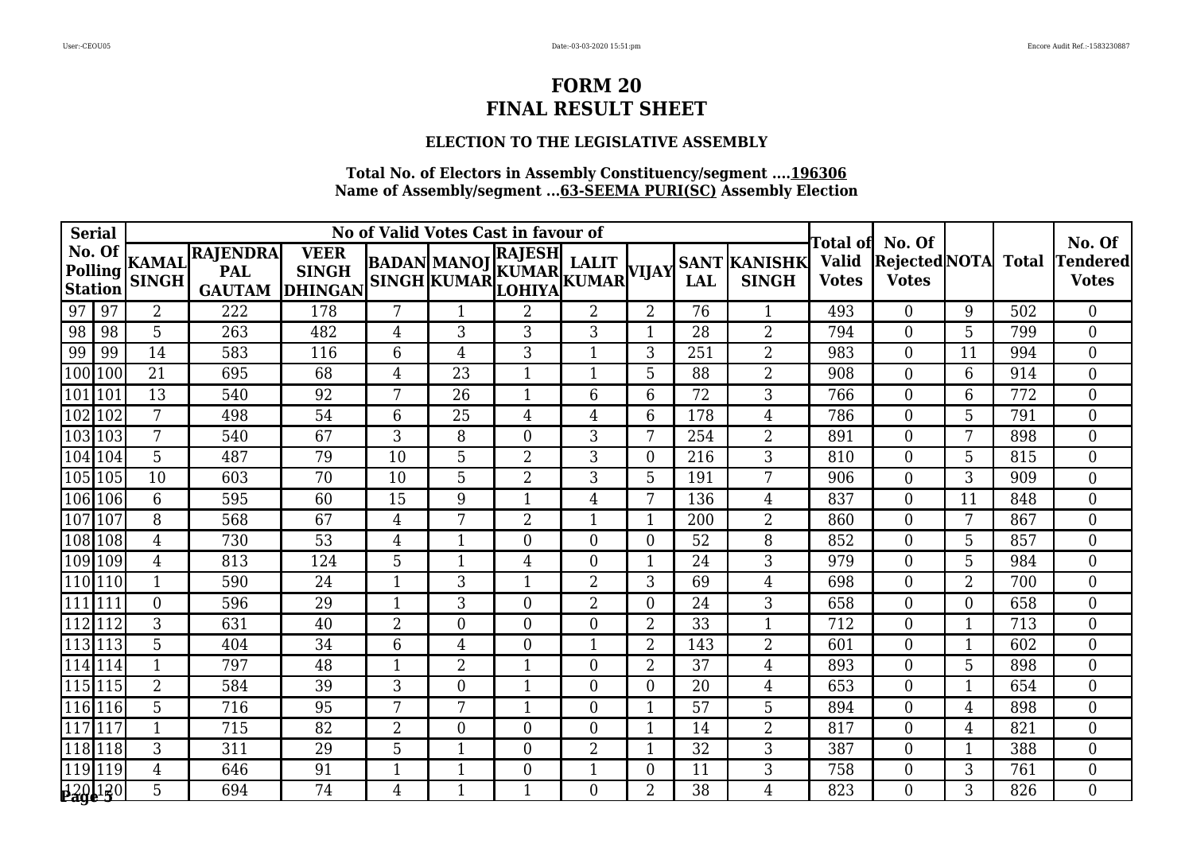### **ELECTION TO THE LEGISLATIVE ASSEMBLY**

| <b>Serial</b>                       |                              |                                                |                                               | No of Valid Votes Cast in favour of |                | Гоtal ofl                                                                        | No. Of         |                |     | No. Of                              |                              |                                            |                |     |                          |
|-------------------------------------|------------------------------|------------------------------------------------|-----------------------------------------------|-------------------------------------|----------------|----------------------------------------------------------------------------------|----------------|----------------|-----|-------------------------------------|------------------------------|--------------------------------------------|----------------|-----|--------------------------|
| No. Of<br>Polling<br><b>Station</b> | <b>KAMAL</b><br><b>SINGH</b> | <b>RAJENDRA</b><br><b>PAL</b><br><b>GAUTAM</b> | <b>VEER</b><br><b>SINGH</b><br><b>DHINGAN</b> |                                     |                | <b>RAJESH</b><br>BADAN MANOJ KUMAR LALIT VIJAY<br>SINGH KUMAR LOHIYA KUMAR VIJAY |                |                | LAL | <b>SANT KANISHK</b><br><b>SINGH</b> | <b>Valid</b><br><b>Votes</b> | <b>Rejected</b> NOTA Total<br><b>Votes</b> |                |     | Tendered<br><b>Votes</b> |
| 97<br>97                            | $\overline{2}$               | 222                                            | 178                                           | 7                                   | $\mathbf 1$    | $\overline{2}$                                                                   | $\overline{2}$ | $\overline{2}$ | 76  | 1                                   | 493                          | $\Omega$                                   | 9              | 502 | $\Omega$                 |
| 98<br>98                            | 5                            | 263                                            | 482                                           | 4                                   | 3              | 3                                                                                | 3              |                | 28  | $\overline{2}$                      | 794                          | $\theta$                                   | 5              | 799 | $\overline{0}$           |
| 99<br>99                            | 14                           | 583                                            | 116                                           | 6                                   | 4              | $\sqrt{3}$                                                                       | 1              | 3              | 251 | $\overline{2}$                      | 983                          | 0                                          | 11             | 994 | $\overline{0}$           |
| $\overline{100}$<br>100             | 21                           | 695                                            | 68                                            | $\overline{4}$                      | 23             | $\mathbf{1}$                                                                     | $\mathbf{1}$   | 5              | 88  | $\overline{2}$                      | 908                          | $\Omega$                                   | 6              | 914 | $\overline{0}$           |
| 101 101                             | 13                           | 540                                            | 92                                            | $\overline{7}$                      | 26             | $\mathbf{1}$                                                                     | 6              | 6              | 72  | 3                                   | 766                          | $\overline{0}$                             | 6              | 772 | $\overline{0}$           |
| 102 102                             | 7                            | 498                                            | 54                                            | 6                                   | 25             | $\overline{4}$                                                                   | 4              | 6              | 178 | 4                                   | 786                          | $\overline{0}$                             | 5              | 791 | $\overline{0}$           |
| $\boxed{103}$ $103$                 | 7                            | 540                                            | 67                                            | 3                                   | 8              | $\boldsymbol{0}$                                                                 | 3              | 7              | 254 | $\overline{2}$                      | 891                          | $\theta$                                   | 7              | 898 | $\Omega$                 |
| 104 104                             | 5                            | 487                                            | 79                                            | 10                                  | 5              | $\overline{2}$                                                                   | 3              | $\Omega$       | 216 | 3                                   | 810                          | $\theta$                                   | 5              | 815 | $\overline{0}$           |
| 105 105                             | 10                           | 603                                            | 70                                            | 10                                  | 5              | $\overline{2}$                                                                   | 3              | $5\phantom{.}$ | 191 | 7                                   | 906                          | $\overline{0}$                             | 3              | 909 | $\overline{0}$           |
| $\boxed{106}$ $\boxed{106}$         | 6                            | 595                                            | 60                                            | 15                                  | 9              | $\mathbf{1}$                                                                     | 4              | 7              | 136 | $\overline{4}$                      | 837                          | $\Omega$                                   | 11             | 848 | $\Omega$                 |
| 107<br>107                          | 8                            | 568                                            | 67                                            | 4                                   | 7              | $\overline{2}$                                                                   | 1              |                | 200 | $\overline{2}$                      | 860                          | $\Omega$                                   | 7              | 867 | $\overline{0}$           |
| 108 108                             | 4                            | 730                                            | 53                                            | $\overline{4}$                      | 1              | $\boldsymbol{0}$                                                                 | 0              | $\theta$       | 52  | 8                                   | 852                          | $\Omega$                                   | 5              | 857 | $\overline{0}$           |
| 109 109                             | 4                            | 813                                            | 124                                           | 5                                   | $\mathbf{1}$   | $\overline{4}$                                                                   | $\overline{0}$ | $\mathbf{1}$   | 24  | 3                                   | 979                          | $\overline{0}$                             | 5              | 984 | $\overline{0}$           |
| 110 110                             | $\mathbf{1}$                 | 590                                            | 24                                            | $\mathbf{1}$                        | 3              | $\mathbf{1}$                                                                     | $\overline{2}$ | 3              | 69  | $\overline{4}$                      | 698                          | $\theta$                                   | $\overline{2}$ | 700 | $\overline{0}$           |
| 111 111                             | $\overline{0}$               | 596                                            | 29                                            | $\mathbf{1}$                        | 3              | $\boldsymbol{0}$                                                                 | $\overline{2}$ | $\overline{0}$ | 24  | 3                                   | 658                          | $\Omega$                                   | $\overline{0}$ | 658 | $\overline{0}$           |
| $\overline{112}$<br>112             | 3                            | 631                                            | 40                                            | $\overline{2}$                      | $\overline{0}$ | $\boldsymbol{0}$                                                                 | 0              | 2              | 33  | $\mathbf{1}$                        | 712                          | $\overline{0}$                             | 1              | 713 | $\overline{0}$           |
| 113 113                             | 5                            | 404                                            | 34                                            | 6                                   | 4              | $\boldsymbol{0}$                                                                 | 1              | $\overline{2}$ | 143 | $\overline{2}$                      | 601                          | $\Omega$                                   | 1              | 602 | $\overline{0}$           |
| 114 114                             | $\mathbf{1}$                 | 797                                            | 48                                            | $\mathbf{1}$                        | $\overline{2}$ | $\mathbf{1}$                                                                     | $\overline{0}$ | $\overline{2}$ | 37  | $\overline{4}$                      | 893                          | $\Omega$                                   | 5              | 898 | $\overline{0}$           |
| $\sqrt{115}$  115                   | $\overline{2}$               | 584                                            | 39                                            | 3                                   | $\overline{0}$ | $\mathbf{1}$                                                                     | 0              | $\overline{0}$ | 20  | $\overline{4}$                      | 653                          | $\theta$                                   | $\mathbf{1}$   | 654 | $\overline{0}$           |
| $\overline{116}$<br>116             | 5                            | 716                                            | 95                                            | 7                                   | 7              | $\mathbf{1}$                                                                     | 0              |                | 57  | 5                                   | 894                          | $\Omega$                                   | $\overline{4}$ | 898 | $\Omega$                 |
| $\overline{117}$<br>117             | $\mathbf{1}$                 | 715                                            | 82                                            | $\overline{2}$                      | $\theta$       | $\overline{0}$                                                                   | $\overline{0}$ | $\mathbf 1$    | 14  | $\overline{2}$                      | 817                          | $\theta$                                   | $\overline{4}$ | 821 | $\overline{0}$           |
| 118 118                             | 3                            | 311                                            | 29                                            | 5                                   | 1              | $\boldsymbol{0}$                                                                 | 2              |                | 32  | 3                                   | 387                          | $\overline{0}$                             |                | 388 | $\overline{0}$           |
| $\overline{119}$<br>119             | 4                            | 646                                            | 91                                            | $\mathbf{1}$                        | $\mathbf{1}$   | $\boldsymbol{0}$                                                                 | 1              | $\overline{0}$ | 11  | 3                                   | 758                          | $\overline{0}$                             | 3              | 761 | $\overline{0}$           |
| 120 120                             | 5                            | 694                                            | 74                                            | $\overline{4}$                      | $\mathbf 1$    | $\mathbf{1}$                                                                     | $\Omega$       | $\overline{2}$ | 38  | $\overline{4}$                      | 823                          | 0                                          | 3              | 826 | $\Omega$                 |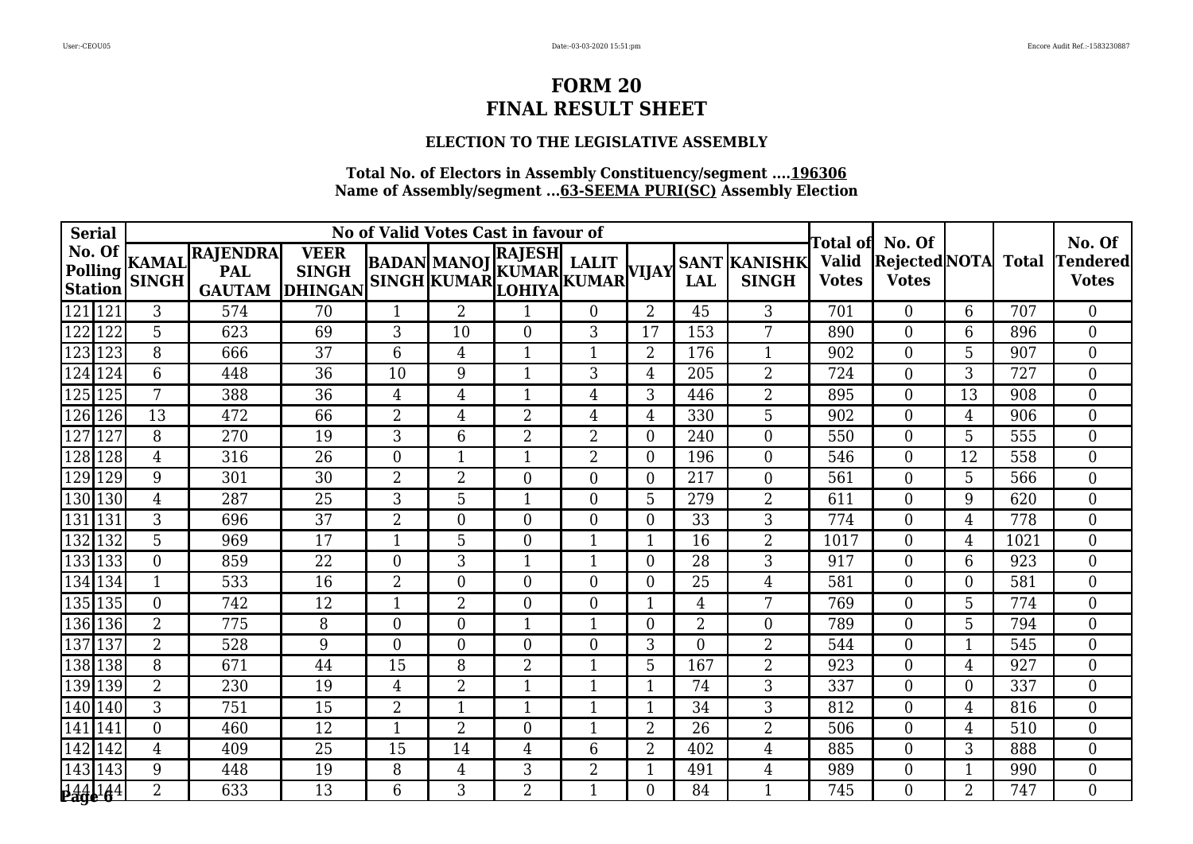### **ELECTION TO THE LEGISLATIVE ASSEMBLY**

| <b>Serial</b>                |                  |                                               |                                               |                | No of Valid Votes Cast in favour of |                                                                      | Гоtal of       | No. Of         |                |                                     | No. Of                       |                                     |                |      |                                 |
|------------------------------|------------------|-----------------------------------------------|-----------------------------------------------|----------------|-------------------------------------|----------------------------------------------------------------------|----------------|----------------|----------------|-------------------------------------|------------------------------|-------------------------------------|----------------|------|---------------------------------|
| No. Of<br>Polling<br>Station | <b>SINGH</b>     | KAMAL RAJENDRA<br><b>PAL</b><br><b>GAUTAM</b> | <b>VEER</b><br><b>SINGH</b><br><b>DHINGAN</b> |                |                                     | RAJESH <br>BADAN MANOJ KUMAR LALIT VIJAY<br>SINGH KUMAR LOHIYA KUMAR |                |                | LAL            | <b>SANT KANISHK</b><br><b>SINGH</b> | <b>Valid</b><br><b>Votes</b> | Rejected NOTA Total<br><b>Votes</b> |                |      | <b>Tendered</b><br><b>Votes</b> |
| 121 121                      | 3                | 574                                           | 70                                            | 1              | $\overline{2}$                      | $\mathbf{1}$                                                         | $\overline{0}$ | 2              | 45             | 3                                   | 701                          | $\Omega$                            | 6              | 707  | $\Omega$                        |
| 122<br>122                   | 5                | 623                                           | 69                                            | 3              | 10                                  | $\boldsymbol{0}$                                                     | 3              | 17             | 153            | 7                                   | 890                          | $\overline{0}$                      | 6              | 896  | $\overline{0}$                  |
| $\overline{123}$<br>123      | 8                | 666                                           | 37                                            | 6              | 4                                   | $\mathbf{1}$                                                         | 1              | $\overline{2}$ | 176            | $\mathbf{1}$                        | 902                          | $\theta$                            | 5              | 907  | $\overline{0}$                  |
| 124 124                      | 6                | 448                                           | 36                                            | 10             | 9                                   | $\mathbf{1}$                                                         | 3              | 4              | 205            | $\overline{2}$                      | 724                          | $\theta$                            | 3              | 727  | $\overline{0}$                  |
| $\overline{125}$<br>125      | 7                | 388                                           | 36                                            | $\overline{4}$ | 4                                   | $\mathbf{1}$                                                         | 4              | 3              | 446            | $\overline{2}$                      | 895                          | $\theta$                            | 13             | 908  | $\overline{0}$                  |
| 126<br>126                   | 13               | 472                                           | 66                                            | $\overline{2}$ | 4                                   | $\overline{2}$                                                       | 4              | $\overline{4}$ | 330            | 5                                   | 902                          | $\overline{0}$                      | $\overline{4}$ | 906  | $\overline{0}$                  |
| $\overline{127}$<br>127      | 8                | 270                                           | 19                                            | 3              | 6                                   | $\overline{2}$                                                       | $\overline{2}$ | $\Omega$       | 240            | $\theta$                            | 550                          | $\Omega$                            | 5              | 555  | $\Omega$                        |
| $\overline{128}$<br>128      | 4                | 316                                           | 26                                            | $\Omega$       | $\mathbf 1$                         | $\mathbf{1}$                                                         | $\overline{2}$ | $\Omega$       | 196            | $\overline{0}$                      | 546                          | $\theta$                            | 12             | 558  | $\overline{0}$                  |
| $\overline{129}$<br>129      | 9                | 301                                           | 30                                            | $\overline{2}$ | $\overline{2}$                      | $\boldsymbol{0}$                                                     | $\overline{0}$ | $\theta$       | 217            | $\boldsymbol{0}$                    | 561                          | $\overline{0}$                      | 5              | 566  | $\overline{0}$                  |
| 130 130                      | $\overline{4}$   | 287                                           | 25                                            | 3              | 5                                   | $\mathbf{1}$                                                         | $\overline{0}$ | 5              | 279            | $\overline{2}$                      | 611                          | $\theta$                            | 9              | 620  | $\overline{0}$                  |
| 131<br>131                   | 3                | 696                                           | 37                                            | $\overline{2}$ | $\overline{0}$                      | $\boldsymbol{0}$                                                     | $\overline{0}$ | $\overline{0}$ | 33             | 3                                   | 774                          | $\theta$                            | $\overline{4}$ | 778  | $\overline{0}$                  |
| $\overline{132}$<br>132      | 5                | 969                                           | 17                                            | 1              | 5                                   | $\boldsymbol{0}$                                                     | 1              |                | 16             | $\overline{2}$                      | 1017                         | $\theta$                            | $\overline{4}$ | 1021 | $\overline{0}$                  |
| 133 133                      | $\overline{0}$   | 859                                           | 22                                            | $\theta$       | 3                                   | $\mathbf{1}$                                                         | 1              | $\overline{0}$ | 28             | 3                                   | 917                          | $\overline{0}$                      | 6              | 923  | $\overline{0}$                  |
| 134 134                      | 1                | 533                                           | 16                                            | $\overline{2}$ | $\Omega$                            | $\boldsymbol{0}$                                                     | 0              | 0              | 25             | $\overline{4}$                      | 581                          | $\theta$                            | $\Omega$       | 581  | $\overline{0}$                  |
| 135 135                      | $\boldsymbol{0}$ | 742                                           | 12                                            | $\mathbf{1}$   | 2                                   | $\boldsymbol{0}$                                                     | $\overline{0}$ |                | 4              | 7                                   | 769                          | 0                                   | 5              | 774  | $\overline{0}$                  |
| $\sqrt{136}$ 136             | $\overline{2}$   | 775                                           | 8                                             | $\overline{0}$ | $\overline{0}$                      | $\mathbf{1}$                                                         | 1              | $\overline{0}$ | $\overline{2}$ | $\overline{0}$                      | 789                          | $\overline{0}$                      | 5              | 794  | $\overline{0}$                  |
| $\overline{137}$<br>137      | $\overline{2}$   | 528                                           | 9                                             | $\theta$       | $\overline{0}$                      | $\boldsymbol{0}$                                                     | 0              | 3              | $\overline{0}$ | $\overline{2}$                      | 544                          | $\theta$                            | 1              | 545  | $\overline{0}$                  |
| 138 138                      | 8                | 671                                           | 44                                            | 15             | 8                                   | $\overline{2}$                                                       | 1              | $5\phantom{.}$ | 167            | $\overline{2}$                      | 923                          | $\theta$                            | $\overline{4}$ | 927  | $\overline{0}$                  |
| $\sqrt{139}$ 139             | $\overline{2}$   | 230                                           | 19                                            | 4              | $\overline{2}$                      | 1                                                                    | 1              |                | 74             | 3                                   | 337                          | $\theta$                            | $\overline{0}$ | 337  | $\overline{0}$                  |
| 140 140                      | $\mathfrak{Z}$   | 751                                           | 15                                            | $\overline{2}$ | $\mathbf 1$                         | $\mathbf{1}$                                                         | 1              |                | 34             | 3                                   | 812                          | $\Omega$                            | $\overline{4}$ | 816  | $\overline{0}$                  |
| 141<br>141                   | $\overline{0}$   | 460                                           | 12                                            | 1              | $\overline{2}$                      | $\boldsymbol{0}$                                                     | 1              | $\overline{2}$ | 26             | $\overline{2}$                      | 506                          | $\theta$                            | $\overline{4}$ | 510  | $\overline{0}$                  |
| $\overline{142}$<br>142      | $\overline{4}$   | 409                                           | 25                                            | 15             | 14                                  | $\overline{4}$                                                       | 6              | 2              | 402            | $\overline{4}$                      | 885                          | $\theta$                            | 3              | 888  | $\boldsymbol{0}$                |
| $\overline{143}$<br>143      | 9                | 448                                           | 19                                            | 8              | 4                                   | 3                                                                    | $\overline{2}$ | $\mathbf{1}$   | 491            | $\overline{4}$                      | 989                          | $\overline{0}$                      | 1              | 990  | $\overline{0}$                  |
| 144 144                      | $\overline{2}$   | 633                                           | 13                                            | 6              | 3                                   | $\overline{2}$                                                       | 1              | 0              | 84             | $\mathbf{1}$                        | 745                          | 0                                   | $\overline{2}$ | 747  | $\Omega$                        |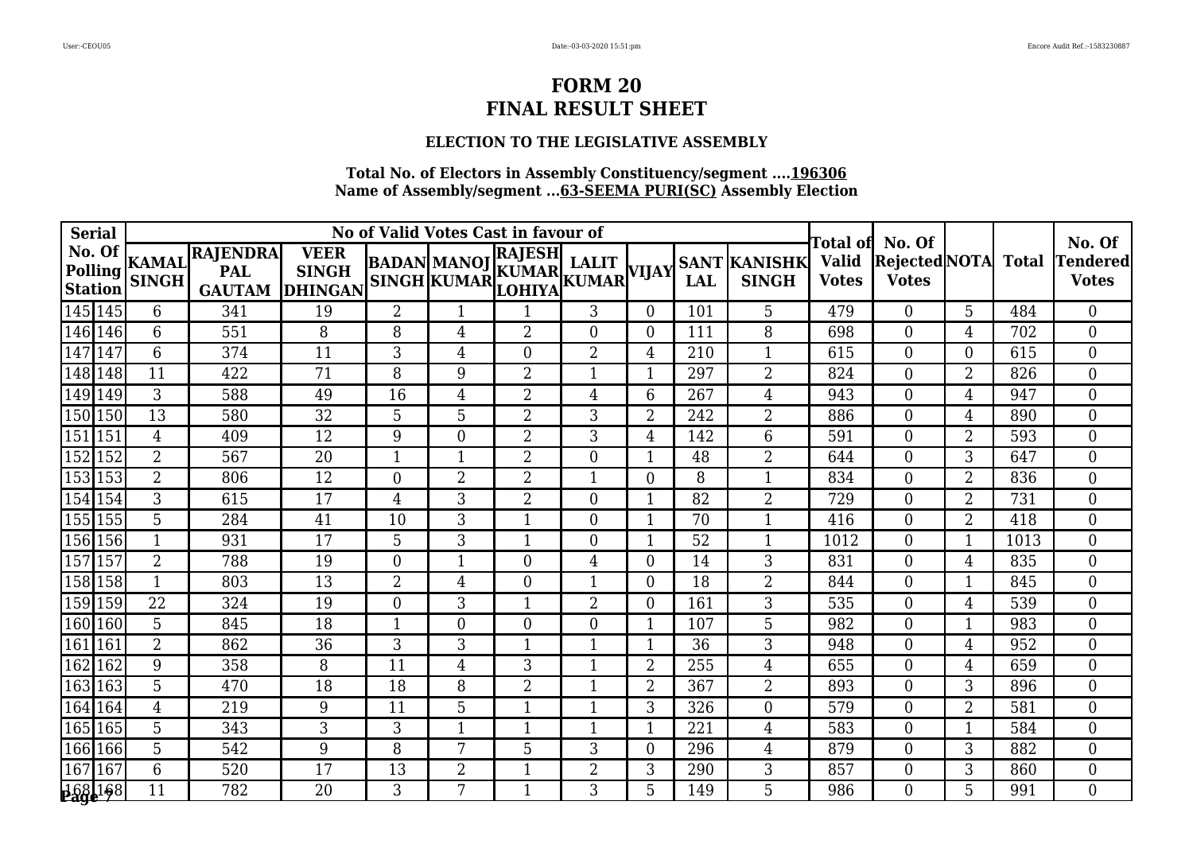### **ELECTION TO THE LEGISLATIVE ASSEMBLY**

| <b>Serial</b>                |                        |                                                |                                               |                | No of Valid Votes Cast in favour of                       |                | Гоtal ofl      | No. Of         |            |                                     | No. Of                       |                                     |                |              |                                 |
|------------------------------|------------------------|------------------------------------------------|-----------------------------------------------|----------------|-----------------------------------------------------------|----------------|----------------|----------------|------------|-------------------------------------|------------------------------|-------------------------------------|----------------|--------------|---------------------------------|
| No. Of<br>Polling<br>Station | KAMAL <br><b>SINGH</b> | <b>RAJENDRA</b><br><b>PAL</b><br><b>GAUTAM</b> | <b>VEER</b><br><b>SINGH</b><br><b>DHINGAN</b> |                | BADAN MANOJ KUMAR LALIT<br>SINGH KUMAR LOHIYA KUMAR VIJAY | RAJESH         |                |                | <b>LAL</b> | <b>SANT KANISHK</b><br><b>SINGH</b> | <b>Valid</b><br><b>Votes</b> | <b>RejectedNOTA</b><br><b>Votes</b> |                | <b>Total</b> | <b>Tendered</b><br><b>Votes</b> |
| $\sqrt{145}$  145            | 6                      | 341                                            | 19                                            | $\overline{2}$ |                                                           |                | 3              | $\overline{0}$ | 101        | 5                                   | 479                          | $\overline{0}$                      | 5              | 484          | $\overline{0}$                  |
| $\sqrt{146}$ 146             | 6                      | 551                                            | 8                                             | 8              | 4                                                         | $\overline{2}$ | $\overline{0}$ | $\overline{0}$ | 111        | 8                                   | 698                          | $\theta$                            | $\overline{4}$ | 702          | $\overline{0}$                  |
| $\overline{147}$<br>147      | 6                      | 374                                            | 11                                            | 3              | 4                                                         | $\mathbf{0}$   | $\overline{2}$ | 4              | 210        |                                     | 615                          | 0                                   | $\Omega$       | 615          | $\overline{0}$                  |
| 148 148                      | 11                     | 422                                            | $\overline{71}$                               | 8              | 9                                                         | $\overline{2}$ | 1              | 1              | 297        | $\overline{2}$                      | 824                          | 0                                   | $\overline{2}$ | 826          | $\overline{0}$                  |
| $\sqrt{149}$<br>149          | 3                      | 588                                            | 49                                            | 16             | 4                                                         | $\overline{2}$ | 4              | 6              | 267        | 4                                   | 943                          | $\Omega$                            | $\overline{4}$ | 947          | $\overline{0}$                  |
| 150 150                      | 13                     | 580                                            | 32                                            | 5              | 5                                                         | $\overline{2}$ | 3              | $\overline{2}$ | 242        | $\overline{2}$                      | 886                          | 0                                   | $\overline{4}$ | 890          | $\overline{0}$                  |
| $\sqrt{151/151}$             | $\overline{4}$         | 409                                            | 12                                            | 9              | $\overline{0}$                                            | $\overline{2}$ | 3              | $\overline{4}$ | 142        | 6                                   | 591                          | $\overline{0}$                      | $\overline{2}$ | 593          | $\overline{0}$                  |
| $\sqrt{152}$<br>152          | $\overline{2}$         | 567                                            | 20                                            | $\mathbf{1}$   |                                                           | $\overline{2}$ | $\overline{0}$ |                | 48         | $\overline{2}$                      | 644                          | 0                                   | 3              | 647          | $\overline{0}$                  |
| $\overline{153}$<br>153      | $\overline{2}$         | 806                                            | $\overline{12}$                               | $\overline{0}$ | $\overline{2}$                                            | $\overline{2}$ | 1              | $\overline{0}$ | 8          | 1                                   | 834                          | 0                                   | $\overline{2}$ | 836          | $\overline{0}$                  |
| 154 154                      | 3                      | 615                                            | 17                                            | $\overline{4}$ | 3                                                         | $\overline{2}$ | $\Omega$       | $\mathbf{1}$   | 82         | $\overline{2}$                      | 729                          | $\Omega$                            | $\overline{2}$ | 731          | $\overline{0}$                  |
| $\sqrt{155}$ 155             | 5                      | 284                                            | 41                                            | 10             | 3                                                         | 1              | $\overline{0}$ |                | 70         | 1                                   | 416                          | $\theta$                            | $\overline{2}$ | 418          | $\overline{0}$                  |
| 156 156                      | $\mathbf{1}$           | 931                                            | 17                                            | 5              | 3                                                         | $\mathbf 1$    | $\overline{0}$ |                | 52         | -1                                  | 1012                         | 0                                   | $\mathbf{1}$   | 1013         | $\overline{0}$                  |
| $\sqrt{157}$<br>157          | $\overline{2}$         | 788                                            | 19                                            | $\overline{0}$ | 1                                                         | $\overline{0}$ | 4              | $\overline{0}$ | 14         | 3                                   | 831                          | 0                                   | $\overline{4}$ | 835          | $\overline{0}$                  |
| 158 158                      | $\mathbf{1}$           | 803                                            | 13                                            | $\overline{2}$ | 4                                                         | $\mathbf{0}$   | 1              | $\Omega$       | 18         | $\overline{2}$                      | 844                          | 0                                   | 1              | 845          | $\overline{0}$                  |
| 159 159                      | 22                     | 324                                            | 19                                            | $\overline{0}$ | 3                                                         | $\mathbf{1}$   | 2              | 0              | 161        | 3                                   | 535                          | $\overline{0}$                      | 4              | 539          | $\overline{0}$                  |
| 160 160                      | 5                      | 845                                            | 18                                            | 1              | $\Omega$                                                  | $\overline{0}$ | $\overline{0}$ | 1              | 107        | 5                                   | 982                          | $\theta$                            | $\mathbf{1}$   | 983          | $\overline{0}$                  |
| $\overline{161}$<br>161      | $\overline{2}$         | 862                                            | 36                                            | 3              | 3                                                         | $\mathbf{1}$   | 1              | $\mathbf{1}$   | 36         | 3                                   | 948                          | 0                                   | $\overline{4}$ | 952          | $\overline{0}$                  |
| $\sqrt{162}$<br>162          | 9                      | 358                                            | 8                                             | 11             | 4                                                         | 3              | 1              | $\overline{2}$ | 255        | $\overline{4}$                      | 655                          | 0                                   | $\overline{4}$ | 659          | $\overline{0}$                  |
| $\sqrt{163}$ 163             | 5                      | 470                                            | 18                                            | 18             | 8                                                         | $\overline{2}$ | 1              | $\overline{2}$ | 367        | $\overline{2}$                      | 893                          | 0                                   | 3              | 896          | $\overline{0}$                  |
| 164 164                      | 4                      | 219                                            | 9                                             | 11             | 5                                                         | $\mathbf 1$    | 1              | 3              | 326        | $\overline{0}$                      | 579                          | 0                                   | $\overline{2}$ | 581          | $\overline{0}$                  |
| 165 165                      | 5                      | 343                                            | 3                                             | 3              | 1                                                         | $\mathbf{1}$   | 1              | $\mathbf{1}$   | 221        | $\overline{4}$                      | 583                          | $\overline{0}$                      | $\mathbf{1}$   | 584          | $\overline{0}$                  |
| [166 166]                    | 5                      | 542                                            | 9                                             | 8              | 7                                                         | 5              | 3              | $\overline{0}$ | 296        | 4                                   | 879                          | 0                                   | 3              | 882          | $\boldsymbol{0}$                |
| $\sqrt{167}$<br>167          | 6                      | 520                                            | 17                                            | 13             | 2                                                         | $\mathbf{1}$   | 2              | 3              | 290        | 3                                   | 857                          | 0                                   | 3              | 860          | $\overline{0}$                  |
| 168 168                      | 11                     | 782                                            | 20                                            | 3              | 7                                                         | $\mathbf{1}$   | 3              | 5              | 149        | 5                                   | 986                          | 0                                   | 5              | 991          | $\Omega$                        |